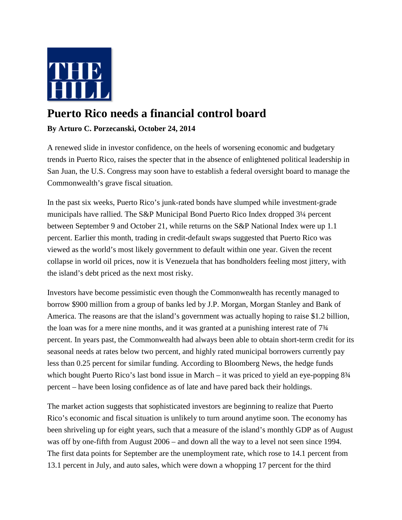

## **Puerto Rico needs a financial control board**

## **By Arturo C. Porzecanski, October 24, 2014**

A renewed slide in investor confidence, on the heels of worsening economic and budgetary trends in Puerto Rico, raises the specter that in the absence of enlightened political leadership in San Juan, the U.S. Congress may soon have to establish a federal oversight board to manage the Commonwealth's grave fiscal situation.

In the past six weeks, Puerto Rico's junk-rated bonds have slumped while investment-grade municipals have rallied. The S&P Municipal Bond Puerto Rico Index dropped 3¼ percent between September 9 and October 21, while returns on the S&P National Index were up 1.1 percent. Earlier this month, trading in credit-default swaps suggested that Puerto Rico was viewed as the world's most likely government to default within one year. Given the recent collapse in world oil prices, now it is Venezuela that has bondholders feeling most jittery, with the island's debt priced as the next most risky.

Investors have become pessimistic even though the Commonwealth has recently managed to borrow \$900 million from a group of banks led by J.P. Morgan, Morgan Stanley and Bank of America. The reasons are that the island's government was actually hoping to raise \$1.2 billion, the loan was for a mere nine months, and it was granted at a punishing interest rate of 7¾ percent. In years past, the Commonwealth had always been able to obtain short-term credit for its seasonal needs at rates below two percent, and highly rated municipal borrowers currently pay less than 0.25 percent for similar funding. According to Bloomberg News, the hedge funds which bought Puerto Rico's last bond issue in March – it was priced to yield an eye-popping  $8\frac{3}{4}$ percent – have been losing confidence as of late and have pared back their holdings.

The market action suggests that sophisticated investors are beginning to realize that Puerto Rico's economic and fiscal situation is unlikely to turn around anytime soon. The economy has been shriveling up for eight years, such that a measure of the island's monthly GDP as of August was off by one-fifth from August 2006 – and down all the way to a level not seen since 1994. The first data points for September are the unemployment rate, which rose to 14.1 percent from 13.1 percent in July, and auto sales, which were down a whopping 17 percent for the third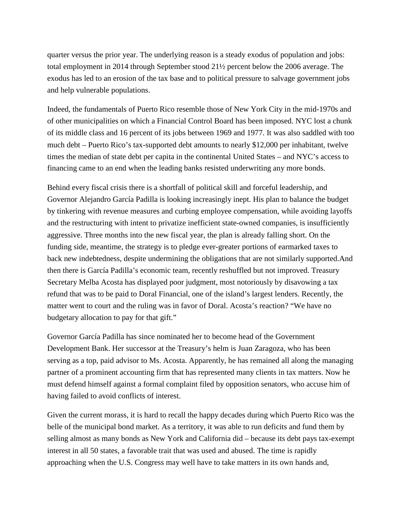quarter versus the prior year. The underlying reason is a steady exodus of population and jobs: total employment in 2014 through September stood 21½ percent below the 2006 average. The exodus has led to an erosion of the tax base and to political pressure to salvage government jobs and help vulnerable populations.

Indeed, the fundamentals of Puerto Rico resemble those of New York City in the mid-1970s and of other municipalities on which a Financial Control Board has been imposed. NYC lost a chunk of its middle class and 16 percent of its jobs between 1969 and 1977. It was also saddled with too much debt – Puerto Rico's tax-supported debt amounts to nearly \$12,000 per inhabitant, twelve times the median of state debt per capita in the continental United States – and NYC's access to financing came to an end when the leading banks resisted underwriting any more bonds.

Behind every fiscal crisis there is a shortfall of political skill and forceful leadership, and Governor Alejandro García Padilla is looking increasingly inept. His plan to balance the budget by tinkering with revenue measures and curbing employee compensation, while avoiding layoffs and the restructuring with intent to privatize inefficient state-owned companies, is insufficiently aggressive. Three months into the new fiscal year, the plan is already falling short. On the funding side, meantime, the strategy is to pledge ever-greater portions of earmarked taxes to back new indebtedness, despite undermining the obligations that are not similarly supported.And then there is García Padilla's economic team, recently reshuffled but not improved. Treasury Secretary Melba Acosta has displayed poor judgment, most notoriously by disavowing a tax refund that was to be paid to Doral Financial, one of the island's largest lenders. Recently, the matter went to court and the ruling was in favor of Doral. Acosta's reaction? "We have no budgetary allocation to pay for that gift."

Governor García Padilla has since nominated her to become head of the Government Development Bank. Her successor at the Treasury's helm is Juan Zaragoza, who has been serving as a top, paid advisor to Ms. Acosta. Apparently, he has remained all along the managing partner of a prominent accounting firm that has represented many clients in tax matters. Now he must defend himself against a formal complaint filed by opposition senators, who accuse him of having failed to avoid conflicts of interest.

Given the current morass, it is hard to recall the happy decades during which Puerto Rico was the belle of the municipal bond market. As a territory, it was able to run deficits and fund them by selling almost as many bonds as New York and California did – because its debt pays tax-exempt interest in all 50 states, a favorable trait that was used and abused. The time is rapidly approaching when the U.S. Congress may well have to take matters in its own hands and,